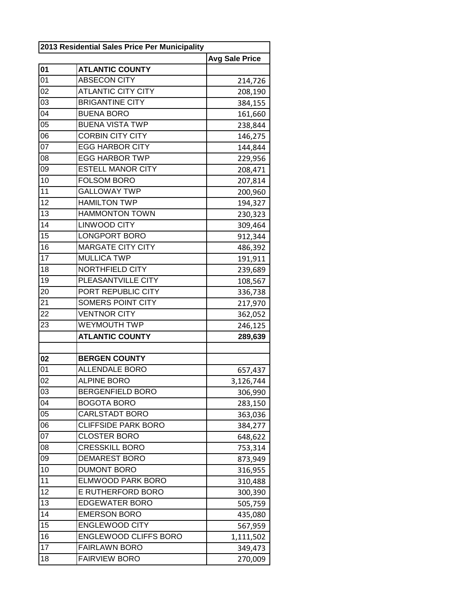|                 | 2013 Residential Sales Price Per Municipality |                       |  |
|-----------------|-----------------------------------------------|-----------------------|--|
|                 |                                               | <b>Avg Sale Price</b> |  |
| 01              | <b>ATLANTIC COUNTY</b>                        |                       |  |
| 01              | <b>ABSECON CITY</b>                           | 214,726               |  |
| 02              | <b>ATLANTIC CITY CITY</b>                     | 208,190               |  |
| 03              | <b>BRIGANTINE CITY</b>                        | 384,155               |  |
| 04              | <b>BUENA BORO</b>                             | 161,660               |  |
| 05              | <b>BUENA VISTA TWP</b>                        | 238,844               |  |
| $0\overline{6}$ | <b>CORBIN CITY CITY</b>                       | 146,275               |  |
| 07              | <b>EGG HARBOR CITY</b>                        | 144,844               |  |
| 08              | <b>EGG HARBOR TWP</b>                         | 229,956               |  |
| 09              | <b>ESTELL MANOR CITY</b>                      | 208,471               |  |
| 10              | <b>FOLSOM BORO</b>                            | 207,814               |  |
| 11              | <b>GALLOWAY TWP</b>                           | 200,960               |  |
| 12              | <b>HAMILTON TWP</b>                           | 194,327               |  |
| 13              | <b>HAMMONTON TOWN</b>                         | 230,323               |  |
| 14              | <b>LINWOOD CITY</b>                           | 309,464               |  |
| 15              | LONGPORT BORO                                 | 912,344               |  |
| 16              | <b>MARGATE CITY CITY</b>                      | 486,392               |  |
| 17              | <b>MULLICA TWP</b>                            | 191,911               |  |
| 18              | <b>NORTHFIELD CITY</b>                        | 239,689               |  |
| 19              | PLEASANTVILLE CITY                            | 108,567               |  |
| 20              | PORT REPUBLIC CITY                            | 336,738               |  |
| 21              | SOMERS POINT CITY                             | 217,970               |  |
| 22              | <b>VENTNOR CITY</b>                           | 362,052               |  |
| 23              | <b>WEYMOUTH TWP</b>                           | 246,125               |  |
|                 | <b>ATLANTIC COUNTY</b>                        | 289,639               |  |
|                 |                                               |                       |  |
| 02              | <b>BERGEN COUNTY</b>                          |                       |  |
| 01              | <b>ALLENDALE BORO</b>                         | 657,437               |  |
| 02              | <b>ALPINE BORO</b>                            | 3,126,744             |  |
| 03              | <b>BERGENFIELD BORO</b>                       | 306,990               |  |
| 04              | <b>BOGOTA BORO</b>                            | 283,150               |  |
| 05              | CARLSTADT BORO                                | 363,036               |  |
| 06              | <b>CLIFFSIDE PARK BORO</b>                    | 384,277               |  |
| 07              | <b>CLOSTER BORO</b>                           | 648,622               |  |
| 08              | <b>CRESSKILL BORO</b>                         | 753,314               |  |
| 09              | <b>DEMAREST BORO</b>                          | 873,949               |  |
| 10              | <b>DUMONT BORO</b>                            | 316,955               |  |
| 11              | ELMWOOD PARK BORO                             | 310,488               |  |
| 12              | E RUTHERFORD BORO                             | 300,390               |  |
| 13              | <b>EDGEWATER BORO</b>                         | 505,759               |  |
| 14              | <b>EMERSON BORO</b>                           | 435,080               |  |
| 15              | <b>ENGLEWOOD CITY</b>                         | 567,959               |  |
| 16              | ENGLEWOOD CLIFFS BORO                         | 1,111,502             |  |
| 17              | <b>FAIRLAWN BORO</b>                          | 349,473               |  |
| 18              | <b>FAIRVIEW BORO</b>                          | 270,009               |  |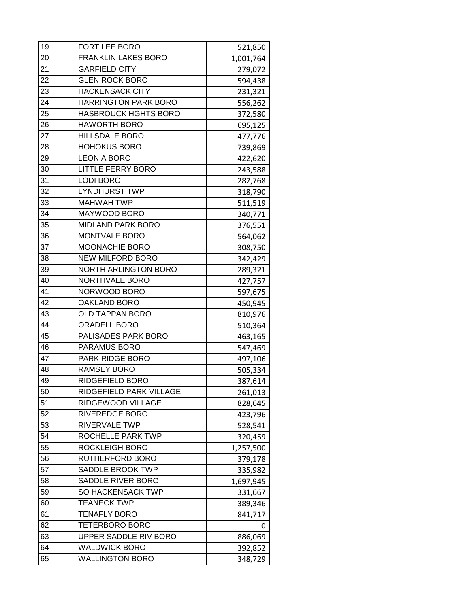| 19 | FORT LEE BORO               | 521,850   |
|----|-----------------------------|-----------|
| 20 | <b>FRANKLIN LAKES BORO</b>  | 1,001,764 |
| 21 | <b>GARFIELD CITY</b>        | 279,072   |
| 22 | <b>GLEN ROCK BORO</b>       | 594,438   |
| 23 | <b>HACKENSACK CITY</b>      | 231,321   |
| 24 | <b>HARRINGTON PARK BORO</b> | 556,262   |
| 25 | <b>HASBROUCK HGHTS BORO</b> | 372,580   |
| 26 | <b>HAWORTH BORO</b>         | 695,125   |
| 27 | <b>HILLSDALE BORO</b>       | 477,776   |
| 28 | <b>HOHOKUS BORO</b>         | 739,869   |
| 29 | <b>LEONIA BORO</b>          | 422,620   |
| 30 | <b>LITTLE FERRY BORO</b>    | 243,588   |
| 31 | <b>LODI BORO</b>            | 282,768   |
| 32 | <b>LYNDHURST TWP</b>        | 318,790   |
| 33 | <b>MAHWAH TWP</b>           | 511,519   |
| 34 | MAYWOOD BORO                | 340,771   |
| 35 | <b>MIDLAND PARK BORO</b>    | 376,551   |
| 36 | MONTVALE BORO               | 564,062   |
| 37 | MOONACHIE BORO              | 308,750   |
| 38 | <b>NEW MILFORD BORO</b>     | 342,429   |
| 39 | <b>NORTH ARLINGTON BORO</b> | 289,321   |
| 40 | NORTHVALE BORO              | 427,757   |
| 41 | NORWOOD BORO                | 597,675   |
| 42 | <b>OAKLAND BORO</b>         | 450,945   |
| 43 | OLD TAPPAN BORO             | 810,976   |
| 44 | ORADELL BORO                | 510,364   |
| 45 | PALISADES PARK BORO         | 463,165   |
| 46 | PARAMUS BORO                | 547,469   |
| 47 | PARK RIDGE BORO             | 497,106   |
| 48 | <b>RAMSEY BORO</b>          | 505,334   |
| 49 | RIDGEFIELD BORO             | 387,614   |
| 50 | RIDGEFIELD PARK VILLAGE     | 261,013   |
| 51 | RIDGEWOOD VILLAGE           | 828,645   |
| 52 | RIVEREDGE BORO              | 423,796   |
| 53 | RIVERVALE TWP               | 528,541   |
| 54 | ROCHELLE PARK TWP           | 320,459   |
| 55 | ROCKLEIGH BORO              | 1,257,500 |
| 56 | RUTHERFORD BORO             | 379,178   |
| 57 | SADDLE BROOK TWP            | 335,982   |
| 58 | SADDLE RIVER BORO           | 1,697,945 |
| 59 | <b>SO HACKENSACK TWP</b>    | 331,667   |
| 60 | <b>TEANECK TWP</b>          | 389,346   |
| 61 | <b>TENAFLY BORO</b>         | 841,717   |
| 62 | TETERBORO BORO              | 0         |
| 63 | UPPER SADDLE RIV BORO       | 886,069   |
| 64 | <b>WALDWICK BORO</b>        | 392,852   |
| 65 | <b>WALLINGTON BORO</b>      | 348,729   |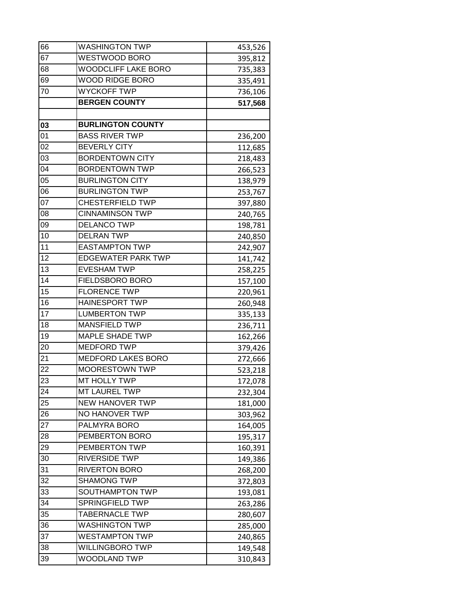| 66 | <b>WASHINGTON TWP</b>      | 453,526 |
|----|----------------------------|---------|
| 67 | WESTWOOD BORO              | 395,812 |
| 68 | <b>WOODCLIFF LAKE BORO</b> | 735,383 |
| 69 | <b>WOOD RIDGE BORO</b>     | 335,491 |
| 70 | <b>WYCKOFF TWP</b>         | 736,106 |
|    | <b>BERGEN COUNTY</b>       | 517,568 |
|    |                            |         |
| 03 | <b>BURLINGTON COUNTY</b>   |         |
| 01 | <b>BASS RIVER TWP</b>      | 236,200 |
| 02 | <b>BEVERLY CITY</b>        | 112,685 |
| 03 | <b>BORDENTOWN CITY</b>     | 218,483 |
| 04 | <b>BORDENTOWN TWP</b>      | 266,523 |
| 05 | <b>BURLINGTON CITY</b>     | 138,979 |
| 06 | <b>BURLINGTON TWP</b>      | 253,767 |
| 07 | <b>CHESTERFIELD TWP</b>    | 397,880 |
| 08 | <b>CINNAMINSON TWP</b>     | 240,765 |
| 09 | <b>DELANCO TWP</b>         | 198,781 |
| 10 | <b>DELRAN TWP</b>          | 240,850 |
| 11 | <b>EASTAMPTON TWP</b>      | 242,907 |
| 12 | <b>EDGEWATER PARK TWP</b>  | 141,742 |
| 13 | <b>EVESHAM TWP</b>         | 258,225 |
| 14 | FIELDSBORO BORO            | 157,100 |
| 15 | <b>FLORENCE TWP</b>        | 220,961 |
| 16 | <b>HAINESPORT TWP</b>      | 260,948 |
| 17 | <b>LUMBERTON TWP</b>       | 335,133 |
| 18 | <b>MANSFIELD TWP</b>       | 236,711 |
| 19 | <b>MAPLE SHADE TWP</b>     | 162,266 |
| 20 | <b>MEDFORD TWP</b>         | 379,426 |
| 21 | <b>MEDFORD LAKES BORO</b>  | 272,666 |
| 22 | <b>MOORESTOWN TWP</b>      | 523,218 |
| 23 | MT HOLLY TWP               | 172,078 |
| 24 | <b>MT LAUREL TWP</b>       | 232,304 |
| 25 | <b>NEW HANOVER TWP</b>     | 181,000 |
| 26 | NO HANOVER TWP             | 303,962 |
| 27 | PALMYRA BORO               | 164,005 |
| 28 | PEMBERTON BORO             | 195,317 |
| 29 | PEMBERTON TWP              | 160,391 |
| 30 | <b>RIVERSIDE TWP</b>       | 149,386 |
| 31 | <b>RIVERTON BORO</b>       | 268,200 |
| 32 | <b>SHAMONG TWP</b>         | 372,803 |
| 33 | SOUTHAMPTON TWP            | 193,081 |
| 34 | <b>SPRINGFIELD TWP</b>     | 263,286 |
| 35 | <b>TABERNACLE TWP</b>      | 280,607 |
| 36 | <b>WASHINGTON TWP</b>      | 285,000 |
| 37 | <b>WESTAMPTON TWP</b>      | 240,865 |
| 38 | <b>WILLINGBORO TWP</b>     | 149,548 |
| 39 | WOODLAND TWP               | 310,843 |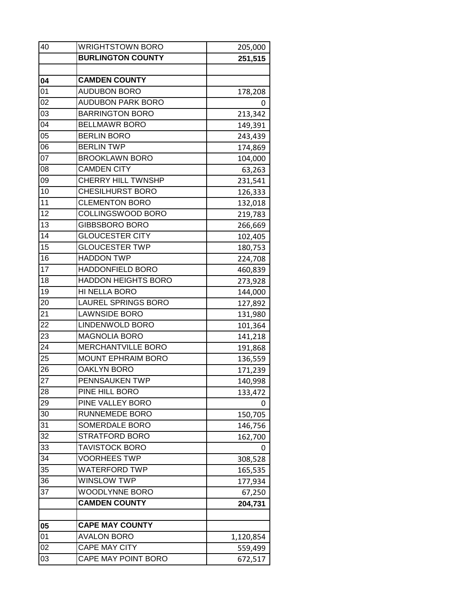| 40              | <b>WRIGHTSTOWN BORO</b>    | 205,000   |
|-----------------|----------------------------|-----------|
|                 | <b>BURLINGTON COUNTY</b>   | 251,515   |
|                 |                            |           |
| 04              | <b>CAMDEN COUNTY</b>       |           |
| 01              | <b>AUDUBON BORO</b>        | 178,208   |
| 02              | <b>AUDUBON PARK BORO</b>   | 0         |
| 03              | <b>BARRINGTON BORO</b>     | 213,342   |
| 04              | <b>BELLMAWR BORO</b>       | 149,391   |
| 05              | <b>BERLIN BORO</b>         | 243,439   |
| 06              | <b>BERLIN TWP</b>          | 174,869   |
| 07              | <b>BROOKLAWN BORO</b>      | 104,000   |
| 08              | <b>CAMDEN CITY</b>         | 63,263    |
| 09              | <b>CHERRY HILL TWNSHP</b>  | 231,541   |
| 10              | <b>CHESILHURST BORO</b>    | 126,333   |
| 11              | <b>CLEMENTON BORO</b>      | 132,018   |
| 12              | COLLINGSWOOD BORO          | 219,783   |
| $\overline{13}$ | GIBBSBORO BORO             | 266,669   |
| 14              | <b>GLOUCESTER CITY</b>     | 102,405   |
| 15              | <b>GLOUCESTER TWP</b>      | 180,753   |
| 16              | <b>HADDON TWP</b>          | 224,708   |
| 17              | HADDONFIELD BORO           | 460,839   |
| 18              | <b>HADDON HEIGHTS BORO</b> | 273,928   |
| 19              | HI NELLA BORO              | 144,000   |
| 20              | <b>LAUREL SPRINGS BORO</b> | 127,892   |
| 21              | <b>LAWNSIDE BORO</b>       | 131,980   |
| 22              | <b>LINDENWOLD BORO</b>     | 101,364   |
| 23              | <b>MAGNOLIA BORO</b>       | 141,218   |
| 24              | MERCHANTVILLE BORO         | 191,868   |
| 25              | <b>MOUNT EPHRAIM BORO</b>  | 136,559   |
| 26              | <b>OAKLYN BORO</b>         | 171,239   |
| 27              | PENNSAUKEN TWP             | 140,998   |
| 28              | PINE HILL BORO             | 133,472   |
| 29              | PINE VALLEY BORO           | 0         |
| 30              | RUNNEMEDE BORO             | 150,705   |
| 31              | SOMERDALE BORO             | 146,756   |
| 32              | <b>STRATFORD BORO</b>      | 162,700   |
| 33              | <b>TAVISTOCK BORO</b>      |           |
| 34              | <b>VOORHEES TWP</b>        | 308,528   |
| 35              | <b>WATERFORD TWP</b>       | 165,535   |
| 36              | <b>WINSLOW TWP</b>         | 177,934   |
| 37              | WOODLYNNE BORO             | 67,250    |
|                 | <b>CAMDEN COUNTY</b>       | 204,731   |
|                 |                            |           |
| 05              | <b>CAPE MAY COUNTY</b>     |           |
| 01              | <b>AVALON BORO</b>         | 1,120,854 |
| 02              | <b>CAPE MAY CITY</b>       | 559,499   |
| 03              | CAPE MAY POINT BORO        | 672,517   |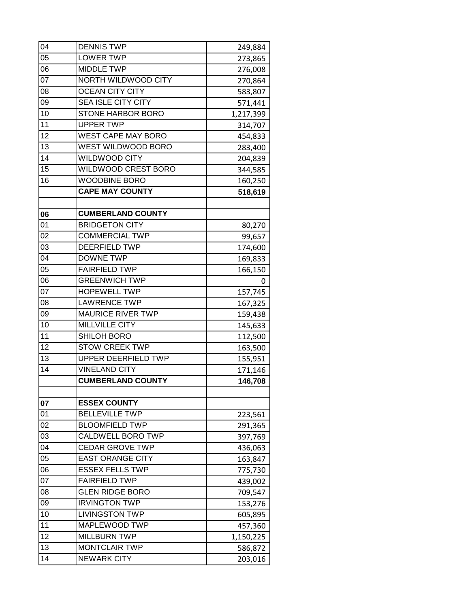| 04 | <b>DENNIS TWP</b>          | 249,884   |
|----|----------------------------|-----------|
| 05 | <b>LOWER TWP</b>           | 273,865   |
| 06 | <b>MIDDLE TWP</b>          | 276,008   |
| 07 | NORTH WILDWOOD CITY        | 270,864   |
| 08 | <b>OCEAN CITY CITY</b>     | 583,807   |
| 09 | <b>SEA ISLE CITY CITY</b>  | 571,441   |
| 10 | STONE HARBOR BORO          | 1,217,399 |
| 11 | <b>UPPER TWP</b>           | 314,707   |
| 12 | <b>WEST CAPE MAY BORO</b>  | 454,833   |
| 13 | WEST WILDWOOD BORO         | 283,400   |
| 14 | WILDWOOD CITY              | 204,839   |
| 15 | WILDWOOD CREST BORO        | 344,585   |
| 16 | <b>WOODBINE BORO</b>       | 160,250   |
|    | <b>CAPE MAY COUNTY</b>     | 518,619   |
|    |                            |           |
| 06 | <b>CUMBERLAND COUNTY</b>   |           |
| 01 | <b>BRIDGETON CITY</b>      | 80,270    |
| 02 | <b>COMMERCIAL TWP</b>      | 99,657    |
| 03 | <b>DEERFIELD TWP</b>       | 174,600   |
| 04 | <b>DOWNE TWP</b>           | 169,833   |
| 05 | <b>FAIRFIELD TWP</b>       | 166,150   |
| 06 | <b>GREENWICH TWP</b>       | 0         |
| 07 | <b>HOPEWELL TWP</b>        | 157,745   |
| 08 | <b>LAWRENCE TWP</b>        | 167,325   |
| 09 | <b>MAURICE RIVER TWP</b>   | 159,438   |
| 10 | <b>MILLVILLE CITY</b>      | 145,633   |
| 11 | SHILOH BORO                | 112,500   |
| 12 | <b>STOW CREEK TWP</b>      | 163,500   |
| 13 | <b>UPPER DEERFIELD TWP</b> | 155,951   |
| 14 | <b>VINELAND CITY</b>       | 171,146   |
|    | <b>CUMBERLAND COUNTY</b>   | 146,708   |
|    |                            |           |
| 07 | <b>ESSEX COUNTY</b>        |           |
| 01 | <b>BELLEVILLE TWP</b>      | 223,561   |
| 02 | <b>BLOOMFIELD TWP</b>      | 291,365   |
| 03 | <b>CALDWELL BORO TWP</b>   | 397,769   |
| 04 | <b>CEDAR GROVE TWP</b>     | 436,063   |
| 05 | <b>EAST ORANGE CITY</b>    | 163,847   |
| 06 | <b>ESSEX FELLS TWP</b>     | 775,730   |
| 07 | <b>FAIRFIELD TWP</b>       | 439,002   |
| 08 | <b>GLEN RIDGE BORO</b>     | 709,547   |
| 09 | <b>IRVINGTON TWP</b>       | 153,276   |
| 10 | <b>LIVINGSTON TWP</b>      | 605,895   |
| 11 | MAPLEWOOD TWP              | 457,360   |
| 12 | <b>MILLBURN TWP</b>        | 1,150,225 |
| 13 | <b>MONTCLAIR TWP</b>       | 586,872   |
| 14 | <b>NEWARK CITY</b>         | 203,016   |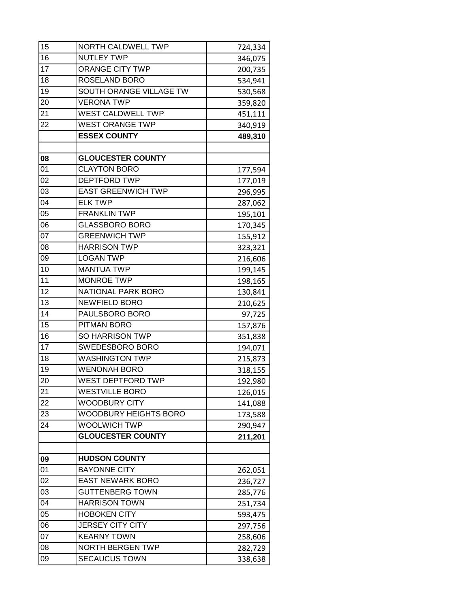| 15              | NORTH CALDWELL TWP        | 724,334 |
|-----------------|---------------------------|---------|
| 16              | <b>NUTLEY TWP</b>         | 346,075 |
| 17              | ORANGE CITY TWP           | 200,735 |
| 18              | ROSELAND BORO             | 534,941 |
| 19              | SOUTH ORANGE VILLAGE TW   | 530,568 |
| 20              | <b>VERONA TWP</b>         | 359,820 |
| 21              | <b>WEST CALDWELL TWP</b>  | 451,111 |
| 22              | <b>WEST ORANGE TWP</b>    | 340,919 |
|                 | <b>ESSEX COUNTY</b>       | 489,310 |
|                 |                           |         |
| 08              | <b>GLOUCESTER COUNTY</b>  |         |
| 01              | <b>CLAYTON BORO</b>       | 177,594 |
| 02              | <b>DEPTFORD TWP</b>       | 177,019 |
| 03              | <b>EAST GREENWICH TWP</b> | 296,995 |
| 04              | <b>ELK TWP</b>            | 287,062 |
| 05              | <b>FRANKLIN TWP</b>       | 195,101 |
| 06              | <b>GLASSBORO BORO</b>     | 170,345 |
| $\overline{07}$ | <b>GREENWICH TWP</b>      | 155,912 |
| 08              | <b>HARRISON TWP</b>       | 323,321 |
| 09              | <b>LOGAN TWP</b>          | 216,606 |
| 10              | <b>MANTUA TWP</b>         | 199,145 |
| 11              | <b>MONROE TWP</b>         | 198,165 |
| 12              | NATIONAL PARK BORO        | 130,841 |
| 13              | <b>NEWFIELD BORO</b>      | 210,625 |
| $\overline{14}$ | PAULSBORO BORO            | 97,725  |
| 15              | PITMAN BORO               | 157,876 |
| 16              | <b>SO HARRISON TWP</b>    | 351,838 |
| 17              | SWEDESBORO BORO           | 194,071 |
| 18              | <b>WASHINGTON TWP</b>     | 215,873 |
| 19              | <b>WENONAH BORO</b>       | 318,155 |
| 20              | WEST DEPTFORD TWP         | 192,980 |
| 21              | <b>WESTVILLE BORO</b>     | 126,015 |
| 22              | <b>WOODBURY CITY</b>      | 141,088 |
| 23              | WOODBURY HEIGHTS BORO     | 173,588 |
| 24              | <b>WOOLWICH TWP</b>       | 290,947 |
|                 | <b>GLOUCESTER COUNTY</b>  | 211,201 |
|                 |                           |         |
| 09              | <b>HUDSON COUNTY</b>      |         |
| 01              | <b>BAYONNE CITY</b>       | 262,051 |
| 02              | <b>EAST NEWARK BORO</b>   | 236,727 |
| 03              | <b>GUTTENBERG TOWN</b>    | 285,776 |
| 04              | <b>HARRISON TOWN</b>      | 251,734 |
| 05              | <b>HOBOKEN CITY</b>       | 593,475 |
| 06              | <b>JERSEY CITY CITY</b>   | 297,756 |
| 07              | <b>KEARNY TOWN</b>        | 258,606 |
| 08              | <b>NORTH BERGEN TWP</b>   | 282,729 |
| 09              | <b>SECAUCUS TOWN</b>      | 338,638 |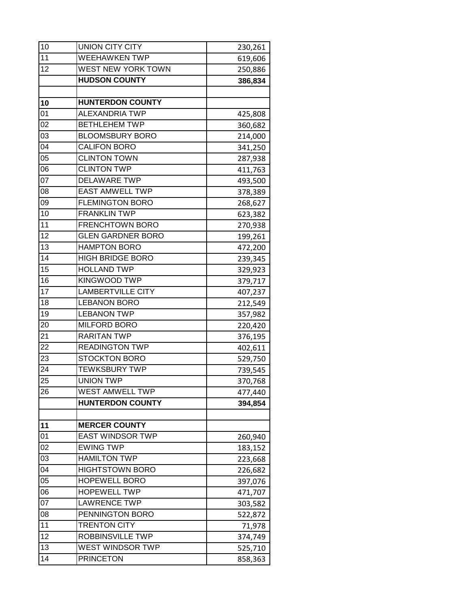| <b>WEEHAWKEN TWP</b><br>619,606<br>WEST NEW YORK TOWN<br>250,886<br><b>HUDSON COUNTY</b><br>386,834<br><b>HUNTERDON COUNTY</b><br><b>ALEXANDRIA TWP</b><br>425,808<br><b>BETHLEHEM TWP</b><br>360,682<br><b>BLOOMSBURY BORO</b><br>214,000<br><b>CALIFON BORO</b><br>341,250<br><b>CLINTON TOWN</b><br>287,938<br><b>CLINTON TWP</b><br>411,763<br><b>DELAWARE TWP</b><br>493,500<br><b>EAST AMWELL TWP</b><br>378,389<br><b>FLEMINGTON BORO</b><br>268,627<br><b>FRANKLIN TWP</b><br>623,382<br><b>FRENCHTOWN BORO</b><br>270,938<br><b>GLEN GARDNER BORO</b><br>199,261<br><b>HAMPTON BORO</b><br>472,200<br><b>HIGH BRIDGE BORO</b><br>239,345<br><b>HOLLAND TWP</b><br>329,923<br><b>KINGWOOD TWP</b><br>379,717<br><b>LAMBERTVILLE CITY</b><br>407,237<br><b>LEBANON BORO</b><br>212,549<br><b>LEBANON TWP</b><br>357,982<br><b>MILFORD BORO</b><br>220,420<br><b>RARITAN TWP</b><br>376,195<br><b>READINGTON TWP</b><br>402,611<br><b>STOCKTON BORO</b><br>529,750<br><b>TEWKSBURY TWP</b><br>739,545<br><b>UNION TWP</b><br>370,768<br><b>WEST AMWELL TWP</b><br>477,440<br><b>HUNTERDON COUNTY</b><br>394,854<br><b>MERCER COUNTY</b><br><b>EAST WINDSOR TWP</b><br>260,940<br><b>EWING TWP</b><br>183,152<br><b>HAMILTON TWP</b><br>223,668<br><b>HIGHTSTOWN BORO</b><br>226,682<br><b>HOPEWELL BORO</b><br>397,076<br><b>HOPEWELL TWP</b><br>471,707<br><b>LAWRENCE TWP</b><br>303,582<br>PENNINGTON BORO<br>522,872<br><b>TRENTON CITY</b><br>71,978<br>ROBBINSVILLE TWP<br>374,749<br><b>WEST WINDSOR TWP</b><br>525,710<br><b>PRINCETON</b> | 10 | <b>UNION CITY CITY</b> | 230,261 |
|----------------------------------------------------------------------------------------------------------------------------------------------------------------------------------------------------------------------------------------------------------------------------------------------------------------------------------------------------------------------------------------------------------------------------------------------------------------------------------------------------------------------------------------------------------------------------------------------------------------------------------------------------------------------------------------------------------------------------------------------------------------------------------------------------------------------------------------------------------------------------------------------------------------------------------------------------------------------------------------------------------------------------------------------------------------------------------------------------------------------------------------------------------------------------------------------------------------------------------------------------------------------------------------------------------------------------------------------------------------------------------------------------------------------------------------------------------------------------------------------------------------------------------------------------------|----|------------------------|---------|
|                                                                                                                                                                                                                                                                                                                                                                                                                                                                                                                                                                                                                                                                                                                                                                                                                                                                                                                                                                                                                                                                                                                                                                                                                                                                                                                                                                                                                                                                                                                                                          | 11 |                        |         |
|                                                                                                                                                                                                                                                                                                                                                                                                                                                                                                                                                                                                                                                                                                                                                                                                                                                                                                                                                                                                                                                                                                                                                                                                                                                                                                                                                                                                                                                                                                                                                          | 12 |                        |         |
|                                                                                                                                                                                                                                                                                                                                                                                                                                                                                                                                                                                                                                                                                                                                                                                                                                                                                                                                                                                                                                                                                                                                                                                                                                                                                                                                                                                                                                                                                                                                                          |    |                        |         |
|                                                                                                                                                                                                                                                                                                                                                                                                                                                                                                                                                                                                                                                                                                                                                                                                                                                                                                                                                                                                                                                                                                                                                                                                                                                                                                                                                                                                                                                                                                                                                          |    |                        |         |
|                                                                                                                                                                                                                                                                                                                                                                                                                                                                                                                                                                                                                                                                                                                                                                                                                                                                                                                                                                                                                                                                                                                                                                                                                                                                                                                                                                                                                                                                                                                                                          | 10 |                        |         |
|                                                                                                                                                                                                                                                                                                                                                                                                                                                                                                                                                                                                                                                                                                                                                                                                                                                                                                                                                                                                                                                                                                                                                                                                                                                                                                                                                                                                                                                                                                                                                          | 01 |                        |         |
|                                                                                                                                                                                                                                                                                                                                                                                                                                                                                                                                                                                                                                                                                                                                                                                                                                                                                                                                                                                                                                                                                                                                                                                                                                                                                                                                                                                                                                                                                                                                                          | 02 |                        |         |
|                                                                                                                                                                                                                                                                                                                                                                                                                                                                                                                                                                                                                                                                                                                                                                                                                                                                                                                                                                                                                                                                                                                                                                                                                                                                                                                                                                                                                                                                                                                                                          | 03 |                        |         |
|                                                                                                                                                                                                                                                                                                                                                                                                                                                                                                                                                                                                                                                                                                                                                                                                                                                                                                                                                                                                                                                                                                                                                                                                                                                                                                                                                                                                                                                                                                                                                          | 04 |                        |         |
|                                                                                                                                                                                                                                                                                                                                                                                                                                                                                                                                                                                                                                                                                                                                                                                                                                                                                                                                                                                                                                                                                                                                                                                                                                                                                                                                                                                                                                                                                                                                                          | 05 |                        |         |
|                                                                                                                                                                                                                                                                                                                                                                                                                                                                                                                                                                                                                                                                                                                                                                                                                                                                                                                                                                                                                                                                                                                                                                                                                                                                                                                                                                                                                                                                                                                                                          | 06 |                        |         |
|                                                                                                                                                                                                                                                                                                                                                                                                                                                                                                                                                                                                                                                                                                                                                                                                                                                                                                                                                                                                                                                                                                                                                                                                                                                                                                                                                                                                                                                                                                                                                          | 07 |                        |         |
|                                                                                                                                                                                                                                                                                                                                                                                                                                                                                                                                                                                                                                                                                                                                                                                                                                                                                                                                                                                                                                                                                                                                                                                                                                                                                                                                                                                                                                                                                                                                                          | 08 |                        |         |
|                                                                                                                                                                                                                                                                                                                                                                                                                                                                                                                                                                                                                                                                                                                                                                                                                                                                                                                                                                                                                                                                                                                                                                                                                                                                                                                                                                                                                                                                                                                                                          | 09 |                        |         |
|                                                                                                                                                                                                                                                                                                                                                                                                                                                                                                                                                                                                                                                                                                                                                                                                                                                                                                                                                                                                                                                                                                                                                                                                                                                                                                                                                                                                                                                                                                                                                          | 10 |                        |         |
|                                                                                                                                                                                                                                                                                                                                                                                                                                                                                                                                                                                                                                                                                                                                                                                                                                                                                                                                                                                                                                                                                                                                                                                                                                                                                                                                                                                                                                                                                                                                                          | 11 |                        |         |
|                                                                                                                                                                                                                                                                                                                                                                                                                                                                                                                                                                                                                                                                                                                                                                                                                                                                                                                                                                                                                                                                                                                                                                                                                                                                                                                                                                                                                                                                                                                                                          | 12 |                        |         |
|                                                                                                                                                                                                                                                                                                                                                                                                                                                                                                                                                                                                                                                                                                                                                                                                                                                                                                                                                                                                                                                                                                                                                                                                                                                                                                                                                                                                                                                                                                                                                          | 13 |                        |         |
|                                                                                                                                                                                                                                                                                                                                                                                                                                                                                                                                                                                                                                                                                                                                                                                                                                                                                                                                                                                                                                                                                                                                                                                                                                                                                                                                                                                                                                                                                                                                                          | 14 |                        |         |
|                                                                                                                                                                                                                                                                                                                                                                                                                                                                                                                                                                                                                                                                                                                                                                                                                                                                                                                                                                                                                                                                                                                                                                                                                                                                                                                                                                                                                                                                                                                                                          | 15 |                        |         |
|                                                                                                                                                                                                                                                                                                                                                                                                                                                                                                                                                                                                                                                                                                                                                                                                                                                                                                                                                                                                                                                                                                                                                                                                                                                                                                                                                                                                                                                                                                                                                          | 16 |                        |         |
|                                                                                                                                                                                                                                                                                                                                                                                                                                                                                                                                                                                                                                                                                                                                                                                                                                                                                                                                                                                                                                                                                                                                                                                                                                                                                                                                                                                                                                                                                                                                                          | 17 |                        |         |
|                                                                                                                                                                                                                                                                                                                                                                                                                                                                                                                                                                                                                                                                                                                                                                                                                                                                                                                                                                                                                                                                                                                                                                                                                                                                                                                                                                                                                                                                                                                                                          | 18 |                        |         |
|                                                                                                                                                                                                                                                                                                                                                                                                                                                                                                                                                                                                                                                                                                                                                                                                                                                                                                                                                                                                                                                                                                                                                                                                                                                                                                                                                                                                                                                                                                                                                          | 19 |                        |         |
|                                                                                                                                                                                                                                                                                                                                                                                                                                                                                                                                                                                                                                                                                                                                                                                                                                                                                                                                                                                                                                                                                                                                                                                                                                                                                                                                                                                                                                                                                                                                                          | 20 |                        |         |
|                                                                                                                                                                                                                                                                                                                                                                                                                                                                                                                                                                                                                                                                                                                                                                                                                                                                                                                                                                                                                                                                                                                                                                                                                                                                                                                                                                                                                                                                                                                                                          | 21 |                        |         |
|                                                                                                                                                                                                                                                                                                                                                                                                                                                                                                                                                                                                                                                                                                                                                                                                                                                                                                                                                                                                                                                                                                                                                                                                                                                                                                                                                                                                                                                                                                                                                          | 22 |                        |         |
|                                                                                                                                                                                                                                                                                                                                                                                                                                                                                                                                                                                                                                                                                                                                                                                                                                                                                                                                                                                                                                                                                                                                                                                                                                                                                                                                                                                                                                                                                                                                                          | 23 |                        |         |
|                                                                                                                                                                                                                                                                                                                                                                                                                                                                                                                                                                                                                                                                                                                                                                                                                                                                                                                                                                                                                                                                                                                                                                                                                                                                                                                                                                                                                                                                                                                                                          | 24 |                        |         |
|                                                                                                                                                                                                                                                                                                                                                                                                                                                                                                                                                                                                                                                                                                                                                                                                                                                                                                                                                                                                                                                                                                                                                                                                                                                                                                                                                                                                                                                                                                                                                          | 25 |                        |         |
|                                                                                                                                                                                                                                                                                                                                                                                                                                                                                                                                                                                                                                                                                                                                                                                                                                                                                                                                                                                                                                                                                                                                                                                                                                                                                                                                                                                                                                                                                                                                                          | 26 |                        |         |
|                                                                                                                                                                                                                                                                                                                                                                                                                                                                                                                                                                                                                                                                                                                                                                                                                                                                                                                                                                                                                                                                                                                                                                                                                                                                                                                                                                                                                                                                                                                                                          |    |                        |         |
|                                                                                                                                                                                                                                                                                                                                                                                                                                                                                                                                                                                                                                                                                                                                                                                                                                                                                                                                                                                                                                                                                                                                                                                                                                                                                                                                                                                                                                                                                                                                                          |    |                        |         |
|                                                                                                                                                                                                                                                                                                                                                                                                                                                                                                                                                                                                                                                                                                                                                                                                                                                                                                                                                                                                                                                                                                                                                                                                                                                                                                                                                                                                                                                                                                                                                          | 11 |                        |         |
|                                                                                                                                                                                                                                                                                                                                                                                                                                                                                                                                                                                                                                                                                                                                                                                                                                                                                                                                                                                                                                                                                                                                                                                                                                                                                                                                                                                                                                                                                                                                                          | 01 |                        |         |
|                                                                                                                                                                                                                                                                                                                                                                                                                                                                                                                                                                                                                                                                                                                                                                                                                                                                                                                                                                                                                                                                                                                                                                                                                                                                                                                                                                                                                                                                                                                                                          | 02 |                        |         |
|                                                                                                                                                                                                                                                                                                                                                                                                                                                                                                                                                                                                                                                                                                                                                                                                                                                                                                                                                                                                                                                                                                                                                                                                                                                                                                                                                                                                                                                                                                                                                          | 03 |                        |         |
|                                                                                                                                                                                                                                                                                                                                                                                                                                                                                                                                                                                                                                                                                                                                                                                                                                                                                                                                                                                                                                                                                                                                                                                                                                                                                                                                                                                                                                                                                                                                                          | 04 |                        |         |
|                                                                                                                                                                                                                                                                                                                                                                                                                                                                                                                                                                                                                                                                                                                                                                                                                                                                                                                                                                                                                                                                                                                                                                                                                                                                                                                                                                                                                                                                                                                                                          | 05 |                        |         |
|                                                                                                                                                                                                                                                                                                                                                                                                                                                                                                                                                                                                                                                                                                                                                                                                                                                                                                                                                                                                                                                                                                                                                                                                                                                                                                                                                                                                                                                                                                                                                          | 06 |                        |         |
|                                                                                                                                                                                                                                                                                                                                                                                                                                                                                                                                                                                                                                                                                                                                                                                                                                                                                                                                                                                                                                                                                                                                                                                                                                                                                                                                                                                                                                                                                                                                                          | 07 |                        |         |
|                                                                                                                                                                                                                                                                                                                                                                                                                                                                                                                                                                                                                                                                                                                                                                                                                                                                                                                                                                                                                                                                                                                                                                                                                                                                                                                                                                                                                                                                                                                                                          | 08 |                        |         |
|                                                                                                                                                                                                                                                                                                                                                                                                                                                                                                                                                                                                                                                                                                                                                                                                                                                                                                                                                                                                                                                                                                                                                                                                                                                                                                                                                                                                                                                                                                                                                          | 11 |                        |         |
|                                                                                                                                                                                                                                                                                                                                                                                                                                                                                                                                                                                                                                                                                                                                                                                                                                                                                                                                                                                                                                                                                                                                                                                                                                                                                                                                                                                                                                                                                                                                                          | 12 |                        |         |
|                                                                                                                                                                                                                                                                                                                                                                                                                                                                                                                                                                                                                                                                                                                                                                                                                                                                                                                                                                                                                                                                                                                                                                                                                                                                                                                                                                                                                                                                                                                                                          | 13 |                        |         |
|                                                                                                                                                                                                                                                                                                                                                                                                                                                                                                                                                                                                                                                                                                                                                                                                                                                                                                                                                                                                                                                                                                                                                                                                                                                                                                                                                                                                                                                                                                                                                          | 14 |                        | 858,363 |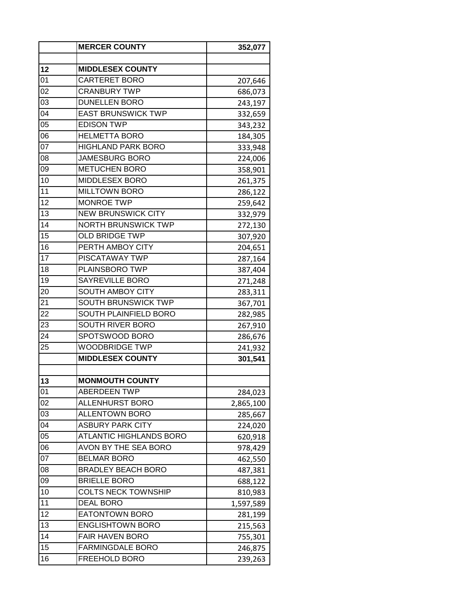|                 | <b>MERCER COUNTY</b>           | 352,077   |
|-----------------|--------------------------------|-----------|
|                 |                                |           |
| 12              | <b>MIDDLESEX COUNTY</b>        |           |
| 01              | <b>CARTERET BORO</b>           | 207,646   |
| 02              | <b>CRANBURY TWP</b>            | 686,073   |
| 03              | <b>DUNELLEN BORO</b>           | 243,197   |
| $\overline{04}$ | <b>EAST BRUNSWICK TWP</b>      | 332,659   |
| 05              | <b>EDISON TWP</b>              | 343,232   |
| 06              | <b>HELMETTA BORO</b>           | 184,305   |
| 07              | <b>HIGHLAND PARK BORO</b>      | 333,948   |
| 08              | <b>JAMESBURG BORO</b>          | 224,006   |
| 09              | <b>METUCHEN BORO</b>           | 358,901   |
| 10              | MIDDLESEX BORO                 | 261,375   |
| 11              | <b>MILLTOWN BORO</b>           | 286,122   |
| 12              | <b>MONROE TWP</b>              | 259,642   |
| 13              | <b>NEW BRUNSWICK CITY</b>      | 332,979   |
| 14              | <b>NORTH BRUNSWICK TWP</b>     | 272,130   |
| 15              | <b>OLD BRIDGE TWP</b>          | 307,920   |
| 16              | PERTH AMBOY CITY               | 204,651   |
| 17              | PISCATAWAY TWP                 | 287,164   |
| 18              | PLAINSBORO TWP                 | 387,404   |
| 19              | SAYREVILLE BORO                | 271,248   |
| 20              | SOUTH AMBOY CITY               | 283,311   |
| 21              | <b>SOUTH BRUNSWICK TWP</b>     | 367,701   |
| 22              | SOUTH PLAINFIELD BORO          | 282,985   |
| 23              | SOUTH RIVER BORO               | 267,910   |
| 24              | SPOTSWOOD BORO                 | 286,676   |
| 25              | <b>WOODBRIDGE TWP</b>          | 241,932   |
|                 | <b>MIDDLESEX COUNTY</b>        | 301,541   |
|                 |                                |           |
| 13              | <b>MONMOUTH COUNTY</b>         |           |
| 01              | <b>ABERDEEN TWP</b>            | 284,023   |
| 02              | ALLENHURST BORO                | 2,865,100 |
| 03              | ALLENTOWN BORO                 | 285,667   |
| 04              | <b>ASBURY PARK CITY</b>        | 224,020   |
| 05              | <b>ATLANTIC HIGHLANDS BORO</b> | 620,918   |
| 06              | AVON BY THE SEA BORO           |           |
| 07              | <b>BELMAR BORO</b>             | 978,429   |
| 08              | <b>BRADLEY BEACH BORO</b>      | 462,550   |
| 09              | <b>BRIELLE BORO</b>            | 487,381   |
| 10              | <b>COLTS NECK TOWNSHIP</b>     | 688,122   |
| 11              | <b>DEAL BORO</b>               | 810,983   |
|                 |                                | 1,597,589 |
| 12              | <b>EATONTOWN BORO</b>          | 281,199   |
| 13              | <b>ENGLISHTOWN BORO</b>        | 215,563   |
| 14              | <b>FAIR HAVEN BORO</b>         | 755,301   |
| 15              | <b>FARMINGDALE BORO</b>        | 246,875   |
| 16              | FREEHOLD BORO                  | 239,263   |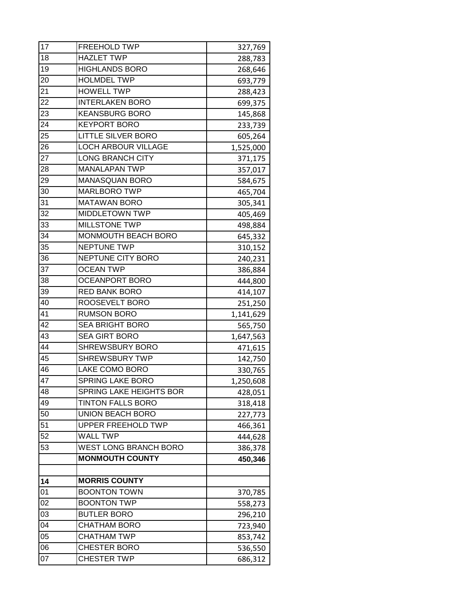| 17 | <b>FREEHOLD TWP</b>          | 327,769   |
|----|------------------------------|-----------|
| 18 | <b>HAZLET TWP</b>            | 288,783   |
| 19 | <b>HIGHLANDS BORO</b>        | 268,646   |
| 20 | <b>HOLMDEL TWP</b>           | 693,779   |
| 21 | <b>HOWELL TWP</b>            | 288,423   |
| 22 | <b>INTERLAKEN BORO</b>       | 699,375   |
| 23 | <b>KEANSBURG BORO</b>        | 145,868   |
| 24 | <b>KEYPORT BORO</b>          | 233,739   |
| 25 | <b>LITTLE SILVER BORO</b>    | 605,264   |
| 26 | <b>LOCH ARBOUR VILLAGE</b>   | 1,525,000 |
| 27 | <b>LONG BRANCH CITY</b>      | 371,175   |
| 28 | <b>MANALAPAN TWP</b>         | 357,017   |
| 29 | <b>MANASQUAN BORO</b>        | 584,675   |
| 30 | <b>MARLBORO TWP</b>          | 465,704   |
| 31 | <b>MATAWAN BORO</b>          | 305,341   |
| 32 | <b>MIDDLETOWN TWP</b>        | 405,469   |
| 33 | <b>MILLSTONE TWP</b>         | 498,884   |
| 34 | MONMOUTH BEACH BORO          | 645,332   |
| 35 | <b>NEPTUNE TWP</b>           | 310,152   |
| 36 | NEPTUNE CITY BORO            | 240,231   |
| 37 | <b>OCEAN TWP</b>             | 386,884   |
| 38 | <b>OCEANPORT BORO</b>        | 444,800   |
| 39 | <b>RED BANK BORO</b>         | 414,107   |
| 40 | ROOSEVELT BORO               | 251,250   |
| 41 | <b>RUMSON BORO</b>           | 1,141,629 |
| 42 | <b>SEA BRIGHT BORO</b>       | 565,750   |
| 43 | <b>SEA GIRT BORO</b>         | 1,647,563 |
| 44 | <b>SHREWSBURY BORO</b>       | 471,615   |
| 45 | <b>SHREWSBURY TWP</b>        | 142,750   |
| 46 | LAKE COMO BORO               | 330,765   |
| 47 | <b>SPRING LAKE BORO</b>      | 1,250,608 |
| 48 | SPRING LAKE HEIGHTS BOR      | 428,051   |
| 49 | <b>TINTON FALLS BORO</b>     | 318,418   |
| 50 | <b>UNION BEACH BORO</b>      | 227,773   |
| 51 | <b>UPPER FREEHOLD TWP</b>    | 466,361   |
| 52 | <b>WALL TWP</b>              | 444,628   |
| 53 | <b>WEST LONG BRANCH BORO</b> | 386,378   |
|    | <b>MONMOUTH COUNTY</b>       | 450,346   |
|    |                              |           |
| 14 | <b>MORRIS COUNTY</b>         |           |
| 01 | <b>BOONTON TOWN</b>          | 370,785   |
| 02 | <b>BOONTON TWP</b>           | 558,273   |
| 03 | <b>BUTLER BORO</b>           | 296,210   |
| 04 | <b>CHATHAM BORO</b>          | 723,940   |
| 05 | <b>CHATHAM TWP</b>           | 853,742   |
| 06 | <b>CHESTER BORO</b>          | 536,550   |
| 07 | <b>CHESTER TWP</b>           | 686,312   |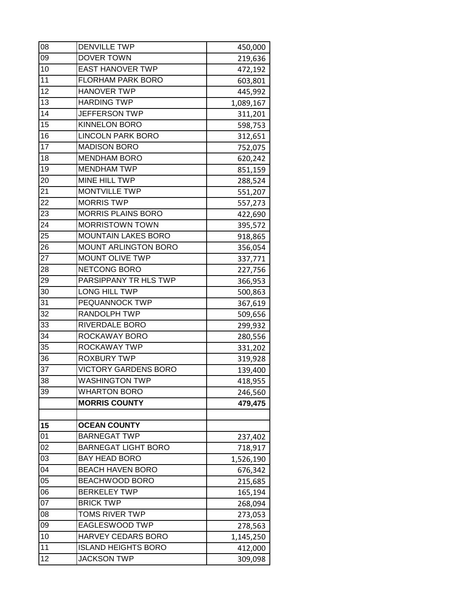| 08       | <b>DENVILLE TWP</b>                         | 450,000   |
|----------|---------------------------------------------|-----------|
| 09       | <b>DOVER TOWN</b>                           | 219,636   |
| 10       | <b>EAST HANOVER TWP</b>                     | 472,192   |
| 11       | <b>FLORHAM PARK BORO</b>                    | 603,801   |
| 12       | <b>HANOVER TWP</b>                          | 445,992   |
| 13       | <b>HARDING TWP</b>                          | 1,089,167 |
| 14       | <b>JEFFERSON TWP</b>                        | 311,201   |
| 15       | <b>KINNELON BORO</b>                        | 598,753   |
| 16       | <b>LINCOLN PARK BORO</b>                    | 312,651   |
| 17       | <b>MADISON BORO</b>                         | 752,075   |
| 18       | <b>MENDHAM BORO</b>                         | 620,242   |
| 19       | <b>MENDHAM TWP</b>                          | 851,159   |
| 20       | <b>MINE HILL TWP</b>                        | 288,524   |
| 21       | <b>MONTVILLE TWP</b>                        | 551,207   |
| 22       | <b>MORRIS TWP</b>                           | 557,273   |
| 23       | <b>MORRIS PLAINS BORO</b>                   | 422,690   |
| 24       | <b>MORRISTOWN TOWN</b>                      | 395,572   |
| 25       | <b>MOUNTAIN LAKES BORO</b>                  | 918,865   |
| 26       | MOUNT ARLINGTON BORO                        | 356,054   |
| 27       | <b>MOUNT OLIVE TWP</b>                      | 337,771   |
| 28       | NETCONG BORO                                | 227,756   |
| 29       | PARSIPPANY TR HLS TWP                       | 366,953   |
| 30       | LONG HILL TWP                               | 500,863   |
| 31       | PEQUANNOCK TWP                              | 367,619   |
| 32       | <b>RANDOLPH TWP</b>                         | 509,656   |
| 33       | RIVERDALE BORO                              | 299,932   |
| 34       | ROCKAWAY BORO                               | 280,556   |
| 35       | ROCKAWAY TWP                                | 331,202   |
| 36       | <b>ROXBURY TWP</b>                          | 319,928   |
| 37       | <b>VICTORY GARDENS BORO</b>                 | 139,400   |
| 38       | <b>WASHINGTON TWP</b>                       | 418,955   |
| 39       | <b>WHARTON BORO</b>                         | 246,560   |
|          | <b>MORRIS COUNTY</b>                        | 479,475   |
|          | <b>OCEAN COUNTY</b>                         |           |
| 15<br>01 | <b>BARNEGAT TWP</b>                         |           |
| 02       |                                             | 237,402   |
| 03       | BARNEGAT LIGHT BORO<br><b>BAY HEAD BORO</b> | 718,917   |
| 04       | <b>BEACH HAVEN BORO</b>                     | 1,526,190 |
| 05       |                                             | 676,342   |
| 06       | BEACHWOOD BORO<br><b>BERKELEY TWP</b>       | 215,685   |
| 07       | <b>BRICK TWP</b>                            | 165,194   |
| 08       | TOMS RIVER TWP                              | 268,094   |
|          |                                             | 273,053   |
| 09<br>10 | EAGLESWOOD TWP<br>HARVEY CEDARS BORO        | 278,563   |
| 11       |                                             | 1,145,250 |
|          | <b>ISLAND HEIGHTS BORO</b>                  | 412,000   |
| 12       | <b>JACKSON TWP</b>                          | 309,098   |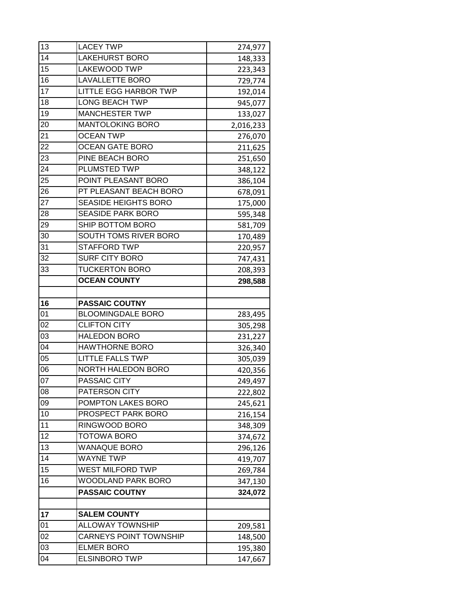| 13 | <b>LACEY TWP</b>              | 274,977   |
|----|-------------------------------|-----------|
| 14 | <b>LAKEHURST BORO</b>         | 148,333   |
| 15 | <b>LAKEWOOD TWP</b>           | 223,343   |
| 16 | <b>LAVALLETTE BORO</b>        | 729,774   |
| 17 | <b>LITTLE EGG HARBOR TWP</b>  | 192,014   |
| 18 | <b>LONG BEACH TWP</b>         | 945,077   |
| 19 | <b>MANCHESTER TWP</b>         | 133,027   |
| 20 | <b>MANTOLOKING BORO</b>       | 2,016,233 |
| 21 | <b>OCEAN TWP</b>              | 276,070   |
| 22 | <b>OCEAN GATE BORO</b>        | 211,625   |
| 23 | PINE BEACH BORO               | 251,650   |
| 24 | <b>PLUMSTED TWP</b>           | 348,122   |
| 25 | POINT PLEASANT BORO           | 386,104   |
| 26 | PT PLEASANT BEACH BORO        | 678,091   |
| 27 | <b>SEASIDE HEIGHTS BORO</b>   | 175,000   |
| 28 | <b>SEASIDE PARK BORO</b>      | 595,348   |
| 29 | SHIP BOTTOM BORO              | 581,709   |
| 30 | SOUTH TOMS RIVER BORO         | 170,489   |
| 31 | <b>STAFFORD TWP</b>           | 220,957   |
| 32 | <b>SURF CITY BORO</b>         | 747,431   |
| 33 | <b>TUCKERTON BORO</b>         | 208,393   |
|    | <b>OCEAN COUNTY</b>           | 298,588   |
|    |                               |           |
| 16 | <b>PASSAIC COUTNY</b>         |           |
| 01 | <b>BLOOMINGDALE BORO</b>      | 283,495   |
| 02 | <b>CLIFTON CITY</b>           | 305,298   |
| 03 | <b>HALEDON BORO</b>           | 231,227   |
| 04 | <b>HAWTHORNE BORO</b>         | 326,340   |
| 05 | <b>LITTLE FALLS TWP</b>       | 305,039   |
| 06 | NORTH HALEDON BORO            | 420,356   |
| 07 | PASSAIC CITY                  | 249,497   |
| 08 | PATERSON CITY                 | 222,802   |
| 09 | POMPTON LAKES BORO            | 245,621   |
| 10 | PROSPECT PARK BORO            | 216,154   |
| 11 | RINGWOOD BORO                 | 348,309   |
| 12 | <b>TOTOWA BORO</b>            | 374,672   |
| 13 | <b>WANAQUE BORO</b>           | 296,126   |
| 14 | <b>WAYNE TWP</b>              | 419,707   |
| 15 | WEST MILFORD TWP              | 269,784   |
| 16 | WOODLAND PARK BORO            | 347,130   |
|    | <b>PASSAIC COUTNY</b>         | 324,072   |
|    |                               |           |
| 17 | <b>SALEM COUNTY</b>           |           |
| 01 | ALLOWAY TOWNSHIP              | 209,581   |
| 02 | <b>CARNEYS POINT TOWNSHIP</b> | 148,500   |
| 03 | <b>ELMER BORO</b>             | 195,380   |
| 04 | <b>ELSINBORO TWP</b>          | 147,667   |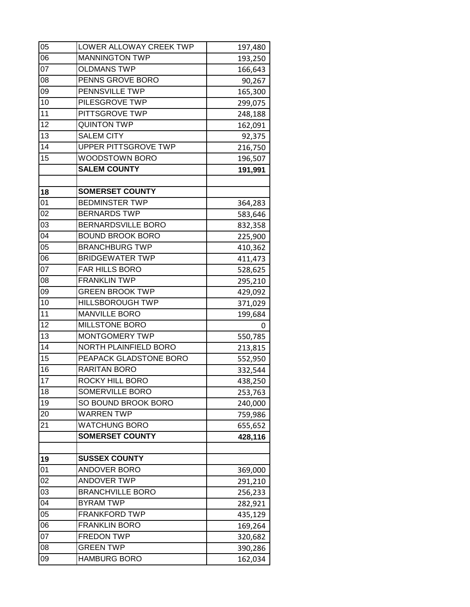| 05 | LOWER ALLOWAY CREEK TWP     | 197,480 |
|----|-----------------------------|---------|
| 06 | <b>MANNINGTON TWP</b>       | 193,250 |
| 07 | <b>OLDMANS TWP</b>          | 166,643 |
| 08 | PENNS GROVE BORO            | 90,267  |
| 09 | PENNSVILLE TWP              | 165,300 |
| 10 | PILESGROVE TWP              | 299,075 |
| 11 | PITTSGROVE TWP              | 248,188 |
| 12 | <b>QUINTON TWP</b>          | 162,091 |
| 13 | <b>SALEM CITY</b>           | 92,375  |
| 14 | <b>UPPER PITTSGROVE TWP</b> | 216,750 |
| 15 | WOODSTOWN BORO              | 196,507 |
|    | <b>SALEM COUNTY</b>         | 191,991 |
|    |                             |         |
| 18 | <b>SOMERSET COUNTY</b>      |         |
| 01 | <b>BEDMINSTER TWP</b>       | 364,283 |
| 02 | <b>BERNARDS TWP</b>         | 583,646 |
| 03 | <b>BERNARDSVILLE BORO</b>   | 832,358 |
| 04 | <b>BOUND BROOK BORO</b>     | 225,900 |
| 05 | <b>BRANCHBURG TWP</b>       | 410,362 |
| 06 | <b>BRIDGEWATER TWP</b>      | 411,473 |
| 07 | FAR HILLS BORO              | 528,625 |
| 08 | <b>FRANKLIN TWP</b>         | 295,210 |
| 09 | <b>GREEN BROOK TWP</b>      | 429,092 |
| 10 | <b>HILLSBOROUGH TWP</b>     | 371,029 |
| 11 | <b>MANVILLE BORO</b>        | 199,684 |
| 12 | <b>MILLSTONE BORO</b>       | 0       |
| 13 | <b>MONTGOMERY TWP</b>       | 550,785 |
| 14 | NORTH PLAINFIELD BORO       | 213,815 |
| 15 | PEAPACK GLADSTONE BORO      | 552,950 |
| 16 | RARITAN BORO                | 332,544 |
| 17 | ROCKY HILL BORO             | 438,250 |
| 18 | SOMERVILLE BORO             | 253,763 |
| 19 | SO BOUND BROOK BORO         | 240,000 |
| 20 | <b>WARREN TWP</b>           | 759,986 |
| 21 | WATCHUNG BORO               | 655,652 |
|    | <b>SOMERSET COUNTY</b>      | 428,116 |
|    |                             |         |
| 19 | <b>SUSSEX COUNTY</b>        |         |
| 01 | ANDOVER BORO                | 369,000 |
| 02 | <b>ANDOVER TWP</b>          | 291,210 |
| 03 | <b>BRANCHVILLE BORO</b>     | 256,233 |
| 04 | <b>BYRAM TWP</b>            | 282,921 |
| 05 | <b>FRANKFORD TWP</b>        | 435,129 |
| 06 | <b>FRANKLIN BORO</b>        | 169,264 |
| 07 | <b>FREDON TWP</b>           | 320,682 |
| 08 | <b>GREEN TWP</b>            | 390,286 |
| 09 | <b>HAMBURG BORO</b>         | 162,034 |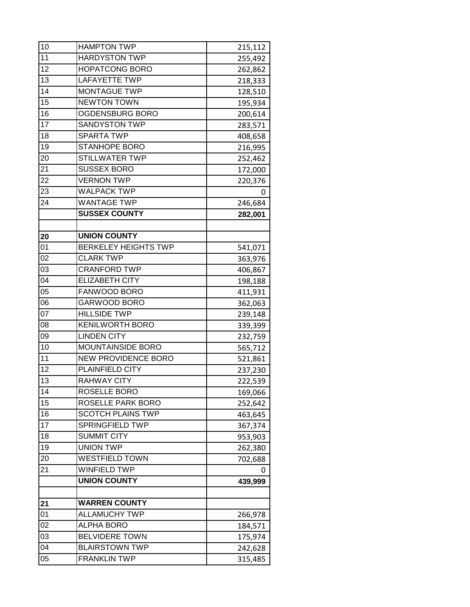| 10              | <b>HAMPTON TWP</b>          | 215,112 |
|-----------------|-----------------------------|---------|
| 11              | <b>HARDYSTON TWP</b>        | 255,492 |
| 12              | <b>HOPATCONG BORO</b>       | 262,862 |
| 13              | <b>LAFAYETTE TWP</b>        | 218,333 |
| $\overline{14}$ | <b>MONTAGUE TWP</b>         | 128,510 |
| 15              | <b>NEWTON TOWN</b>          | 195,934 |
| 16              | OGDENSBURG BORO             | 200,614 |
| $\overline{17}$ | <b>SANDYSTON TWP</b>        | 283,571 |
| 18              | <b>SPARTA TWP</b>           | 408,658 |
| 19              | <b>STANHOPE BORO</b>        | 216,995 |
| 20              | STILLWATER TWP              | 252,462 |
| 21              | <b>SUSSEX BORO</b>          | 172,000 |
| 22              | <b>VERNON TWP</b>           | 220,376 |
| 23              | <b>WALPACK TWP</b>          | 0       |
| 24              | <b>WANTAGE TWP</b>          | 246,684 |
|                 | <b>SUSSEX COUNTY</b>        | 282,001 |
|                 |                             |         |
| 20              | <b>UNION COUNTY</b>         |         |
| 01              | <b>BERKELEY HEIGHTS TWP</b> | 541,071 |
| 02              | <b>CLARK TWP</b>            | 363,976 |
| 03              | <b>CRANFORD TWP</b>         | 406,867 |
| 04              | <b>ELIZABETH CITY</b>       | 198,188 |
| 05              | FANWOOD BORO                | 411,931 |
| 06              | GARWOOD BORO                | 362,063 |
| 07              | <b>HILLSIDE TWP</b>         | 239,148 |
| 08              | <b>KENILWORTH BORO</b>      | 339,399 |
| 09              | <b>LINDEN CITY</b>          | 232,759 |
| 10              | MOUNTAINSIDE BORO           | 565,712 |
| 11              | <b>NEW PROVIDENCE BORO</b>  | 521,861 |
| 12              | PLAINFIELD CITY             | 237,230 |
| 13              | <b>RAHWAY CITY</b>          | 222,539 |
| 14              | ROSELLE BORO                | 169,066 |
| 15              | ROSELLE PARK BORO           | 252,642 |
| 16              | <b>SCOTCH PLAINS TWP</b>    | 463,645 |
| 17              | SPRINGFIELD TWP             | 367,374 |
| 18              | <b>SUMMIT CITY</b>          | 953,903 |
| 19              | <b>UNION TWP</b>            | 262,380 |
| 20              | <b>WESTFIELD TOWN</b>       | 702,688 |
| 21              | <b>WINFIELD TWP</b>         | 0       |
|                 | <b>UNION COUNTY</b>         | 439,999 |
|                 |                             |         |
| 21              | <b>WARREN COUNTY</b>        |         |
| 01              | <b>ALLAMUCHY TWP</b>        | 266,978 |
| 02              | <b>ALPHA BORO</b>           | 184,571 |
| 03              | <b>BELVIDERE TOWN</b>       | 175,974 |
| 04              | <b>BLAIRSTOWN TWP</b>       | 242,628 |
| 05              | <b>FRANKLIN TWP</b>         | 315,485 |